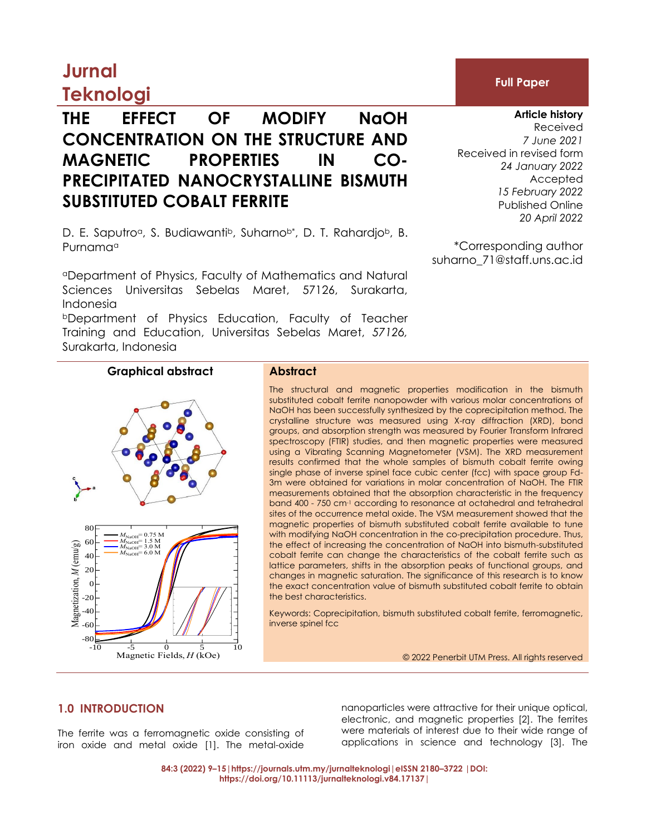# **Jurnal**

## **Teknologi**

### **THE EFFECT OF MODIFY NaOH CONCENTRATION ON THE STRUCTURE AND MAGNETIC PROPERTIES IN CO-PRECIPITATED NANOCRYSTALLINE BISMUTH SUBSTITUTED COBALT FERRITE**

D. E. Saputro<sup>a</sup>, S. Budiawanti<sup>b</sup>, Suharno<sup>b\*</sup>, D. T. Rahardio<sup>b</sup>, B. Purnamaa

<sup>a</sup>Department of Physics, Faculty of Mathematics and Natural Sciences Universitas Sebelas Maret, 57126, Surakarta, Indonesia

<sup>b</sup>Department of Physics Education, Faculty of Teacher Training and Education, Universitas Sebelas Maret, *57126,*  Surakarta, Indonesia

#### **Graphical abstract Abstract**

the exact concentration value of bismuth substituted cobalt ferrite to obtain cobalt ferrite can change the characteristics of the cobalt ferrite such as magnetic properties of bismuth substituted cobalt ferrite available to tune re i the effect of increasing the concentration of NaOH into bismuth-substituted po<br>Jes<br>ac the best characteristics. The structural and magnetic properties modification in the bismuth substituted cobalt ferrite nanopowder with various molar concentrations of NaOH has been successfully synthesized by the coprecipitation method. The crystalline structure was measured using X-ray diffraction (XRD), bond groups, and absorption strength was measured by Fourier Transform Infrared spectroscopy (FTIR) studies, and then magnetic properties were measured using a Vibrating Scanning Magnetometer (VSM). The XRD measurement results confirmed that the whole samples of bismuth cobalt ferrite owing single phase of inverse spinel face cubic center (fcc) with space group Fd-3m were obtained for variations in molar concentration of NaOH. The FTIR measurements obtained that the absorption characteristic in the frequency band 400 - 750 cm-1 according to resonance at octahedral and tetrahedral sites of the occurrence metal oxide. The VSM measurement showed that the with modifying NaOH concentration in the co-precipitation procedure. Thus, lattice parameters, shifts in the absorption peaks of functional groups, and changes in magnetic saturation. The significance of this research is to know

Keywords: Coprecipitation, bismuth substituted cobalt ferrite, ferromagnetic, 70 inverse spinel fcc

© 2022 Penerbit UTM Press. All rights reserved

### **1.0 INTRODUCTION**

-80 -60 -40

iron oxide and metal oxide [1]. The metal-oxide<br>
84:3 (2022) 9-15 | https://journals.utn The ferrite was a ferromagnetic oxide consisting of

80

-10 -5 0 5 10

Magnetic Fields, *H* (kOe)

Magnetic Fields, *H* (kOe)

applications in science and technology [3]. The 35 electronic, and magnetic properties [2]. The ferrites nanoparticles were attractive for their unique optical, were materials of interest due to their wide range of

**84:3 (2022) 9–15|https://journals.utm.my/jurnalteknologi|eISSN 2180–3722 |DOI:** 25 **Mr (emu/g)** 0.5 **https://doi.org/10.11113/jurnalteknologi.v84.17137|**



**Article history**

Received *7 June 2021* Received in revised form *24 January 2022* Accepted *15 February 2022* Published Online *20 April 2022*

\*Corresponding author [suharno\\_71@staff.uns.ac.id](mailto:suharno_71@staff.uns.ac.id)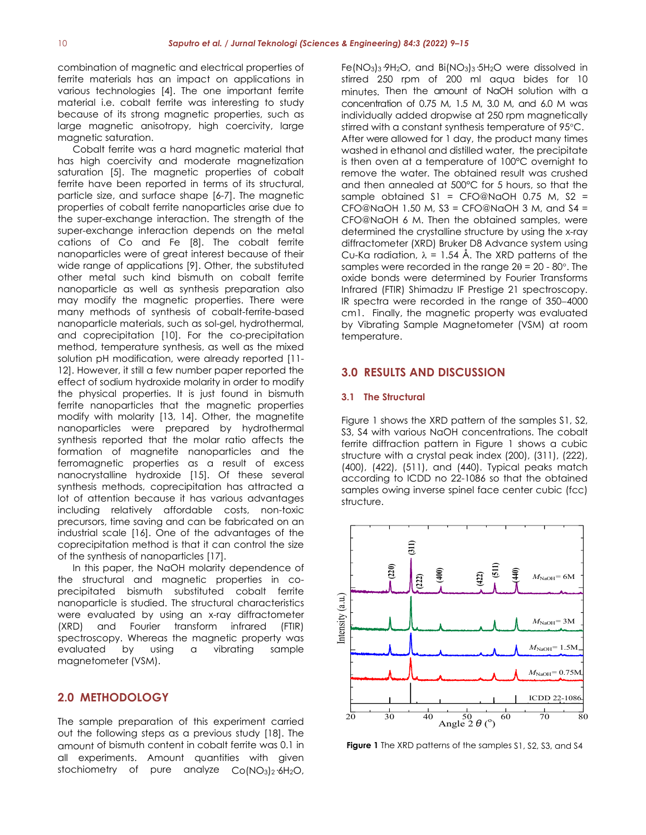combination of magnetic and electrical properties of ferrite materials has an impact on applications in various technologies [4]. The one important ferrite material i.e. cobalt ferrite was interesting to study because of its strong magnetic properties, such as large magnetic anisotropy, high coercivity, large magnetic saturation.

Cobalt ferrite was a hard magnetic material that has high coercivity and moderate magnetization saturation [5]. The magnetic properties of cobalt ferrite have been reported in terms of its structural, particle size, and surface shape [6-7]. The magnetic properties of cobalt ferrite nanoparticles arise due to the super-exchange interaction. The strength of the super-exchange interaction depends on the metal cations of Co and Fe [8]. The cobalt ferrite nanoparticles were of great interest because of their wide range of applications [9]. Other, the substituted other metal such kind bismuth on cobalt ferrite nanoparticle as well as synthesis preparation also may modify the magnetic properties. There were many methods of synthesis of cobalt-ferrite-based nanoparticle materials, such as sol-gel, hydrothermal, and coprecipitation [10]. For the co-precipitation method, temperature synthesis, as well as the mixed solution pH modification, were already reported [11- 12]. However, it still a few number paper reported the effect of sodium hydroxide molarity in order to modify the physical properties. It is just found in bismuth ferrite nanoparticles that the magnetic properties modify with molarity [13, 14]. Other, the magnetite nanoparticles were prepared by hydrothermal synthesis reported that the molar ratio affects the formation of magnetite nanoparticles and the ferromagnetic properties as a result of excess nanocrystalline hydroxide [15]. Of these several synthesis methods, coprecipitation has attracted a lot of attention because it has various advantages including relatively affordable costs, non-toxic precursors, time saving and can be fabricated on an industrial scale [16]. One of the advantages of the coprecipitation method is that it can control the size of the synthesis of nanoparticles [17].

In this paper, the NaOH molarity dependence of the structural and magnetic properties in coprecipitated bismuth substituted cobalt ferrite nanoparticle is studied. The structural characteristics were evaluated by using an x-ray diffractometer (XRD) and Fourier transform infrared (FTIR) spectroscopy. Whereas the magnetic property was evaluated by using a vibrating sample magnetometer (VSM).

#### **2.0 METHODOLOGY**

The sample preparation of this experiment carried out the following steps as a previous study [18]. The amount of bismuth content in cobalt ferrite was 0.1 in all experiments. Amount quantities with given stochiometry of pure analyze Co(NO3)2·6H2O,

Fe(NO3)3·9H2O, and Bi(NO3)3·5H2O were dissolved in stirred 250 rpm of 200 ml aqua bides for 10 minutes. Then the amount of NaOH solution with a concentration of 0.75 M, 1.5 M, 3.0 M, and 6.0 M was individually added dropwise at 250 rpm magnetically stirred with a constant synthesis temperature of 95°C. After were allowed for 1 day, the product many times washed in ethanol and distilled water, the precipitate is then oven at a temperature of 100°C overnight to remove the water. The obtained result was crushed and then annealed at 500°C for 5 hours, so that the sample obtained  $SI = CFO@NaOH$  0.75 M,  $S2 =$  $CFO@NaOH$  1.50 M, S3 =  $CFO@NaOH$  3 M, and S4 = CFO@NaOH 6 M. Then the obtained samples, were determined the crystalline structure by using the x-ray diffractometer (XRD) Bruker D8 Advance system using Cu-Ka radiation,  $\lambda = 1.54$  Å. The XRD patterns of the samples were recorded in the range  $2\theta = 20 - 80^\circ$ . The oxide bonds were determined by Fourier Transforms Infrared (FTIR) Shimadzu IF Prestige 21 spectroscopy. IR spectra were recorded in the range of 350−4000 cm1. Finally, the magnetic property was evaluated by Vibrating Sample Magnetometer (VSM) at room temperature.

#### **3.0 RESULTS AND DISCUSSION**

#### **3.1 The Structural**

Figure 1 shows the XRD pattern of the samples \$1, \$2, S3, S4 with various NaOH concentrations. The cobalt ferrite diffraction pattern in Figure 1 shows a cubic structure with a crystal peak index (200), (311), (222), (400), (422), (511), and (440). Typical peaks match according to ICDD no 22-1086 so that the obtained samples owing inverse spinel face center cubic (fcc) structure.



**Figure 1** The XRD patterns of the samples \$1, \$2, \$3, and \$4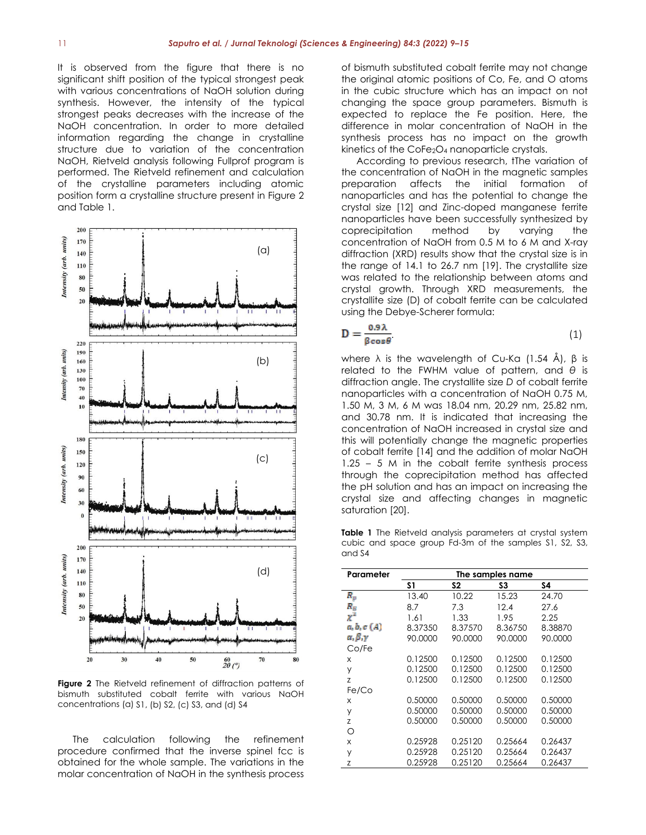It is observed from the figure that there is no significant shift position of the typical strongest peak with various concentrations of NaOH solution during synthesis. However, the intensity of the typical strongest peaks decreases with the increase of the NaOH concentration. In order to more detailed information regarding the change in crystalline structure due to variation of the concentration NaOH, Rietveld analysis following Fullprof program is performed. The Rietveld refinement and calculation of the crystalline parameters including atomic position form a crystalline structure present in Figure 2 and Table 1.



**Figure 2** The Rietveld refinement of diffraction patterns of bismuth substituted cobalt ferrite with various NaOH concentrations (a) S1, (b) S2, (c) S3, and (d) S4

The calculation following the refinement procedure confirmed that the inverse spinel fcc is obtained for the whole sample. The variations in the molar concentration of NaOH in the synthesis process of bismuth substituted cobalt ferrite may not change the original atomic positions of Co, Fe, and O atoms in the cubic structure which has an impact on not changing the space group parameters. Bismuth is expected to replace the Fe position. Here, the difference in molar concentration of NaOH in the synthesis process has no impact on the growth kinetics of the CoFe2O<sup>4</sup> nanoparticle crystals.

According to previous research, tThe variation of the concentration of NaOH in the magnetic samples preparation affects the initial formation of nanoparticles and has the potential to change the crystal size [12] and Zinc-doped manganese ferrite nanoparticles have been successfully synthesized by coprecipitation method by varying the concentration of NaOH from 0.5 M to 6 M and X-ray diffraction (XRD) results show that the crystal size is in the range of 14.1 to 26.7 nm [19]. The crystallite size was related to the relationship between atoms and crystal growth. Through XRD measurements, the crystallite size (D) of cobalt ferrite can be calculated using the Debye-Scherer formula:

$$
D = \frac{0.9\lambda}{\beta \cos \theta} \tag{1}
$$

where  $\lambda$  is the wavelength of Cu-Ka (1.54 Å), β is related to the FWHM value of pattern, and *θ* is diffraction angle. The crystallite size *D* of cobalt ferrite nanoparticles with a concentration of NaOH 0.75 M, 1.50 M, 3 M, 6 M was 18.04 nm, 20.29 nm, 25.82 nm, and 30.78 nm. It is indicated that increasing the concentration of NaOH increased in crystal size and this will potentially change the magnetic properties of cobalt ferrite [14] and the addition of molar NaOH 1.25 – 5 M in the cobalt ferrite synthesis process through the coprecipitation method has affected the pH solution and has an impact on increasing the crystal size and affecting changes in magnetic saturation [20].

**Table 1** The Rietveld analysis parameters at crystal system cubic and space group Fd-3m of the samples S1, S2, S3, and S4

| Parameter                  | The samples name |         |         |         |
|----------------------------|------------------|---------|---------|---------|
|                            | S1               | S2      | S3      | S4      |
| $R_p$                      | 13.40            | 10.22   | 15.23   | 24.70   |
| $R_{\scriptscriptstyle B}$ | 8.7              | 7.3     | 12.4    | 27.6    |
| $\chi^2$                   | 1.61             | 1.33    | 1.95    | 2.25    |
| a, b, c(A)                 | 8.37350          | 8.37570 | 8.36750 | 8.38870 |
| $\alpha, \beta, \gamma$    | 90.0000          | 90.0000 | 90.0000 | 90.0000 |
| Co/Fe                      |                  |         |         |         |
| X                          | 0.12500          | 0.12500 | 0.12500 | 0.12500 |
| У                          | 0.12500          | 0.12500 | 0.12500 | 0.12500 |
| Z                          | 0.12500          | 0.12500 | 0.12500 | 0.12500 |
| Fe/Co                      |                  |         |         |         |
| X                          | 0.50000          | 0.50000 | 0.50000 | 0.50000 |
| У                          | 0.50000          | 0.50000 | 0.50000 | 0.50000 |
| Z                          | 0.50000          | 0.50000 | 0.50000 | 0.50000 |
| Ω                          |                  |         |         |         |
| x                          | 0.25928          | 0.25120 | 0.25664 | 0.26437 |
| У                          | 0.25928          | 0.25120 | 0.25664 | 0.26437 |
| Z                          | 0.25928          | 0.25120 | 0.25664 | 0.26437 |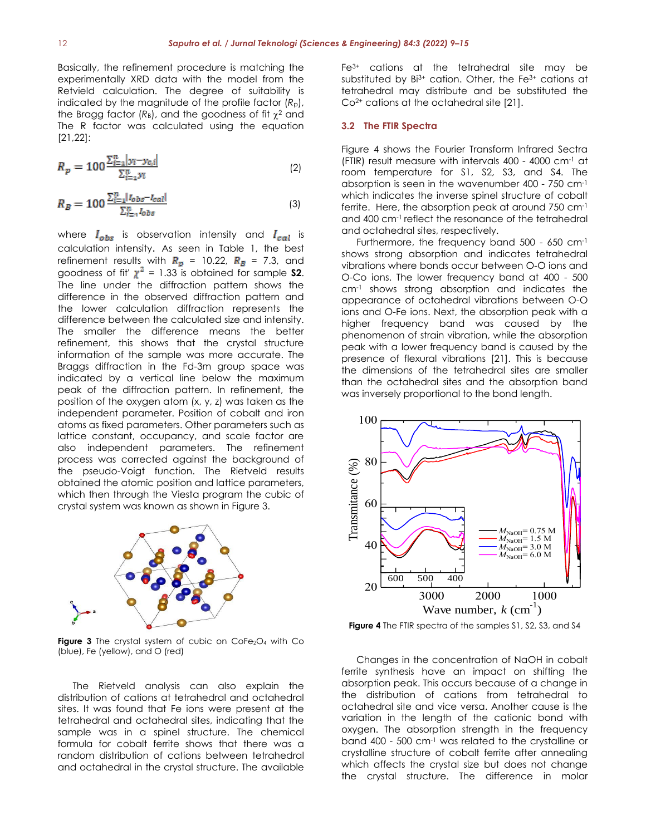Basically, the refinement procedure is matching the experimentally XRD data with the model from the Retvield calculation. The degree of suitability is indicated by the magnitude of the profile factor  $(R<sub>p</sub>)$ , the Bragg factor  $(R_B)$ , and the goodness of fit  $\chi^2$  and The R factor was calculated using the equation [21,22]:

$$
R_p = 100 \frac{\sum_{i=1}^{n} |y_i - y_{c,i}|}{\sum_{i=1}^{n} y_i}
$$
 (2)

$$
R_B = 100 \frac{\sum_{i=1}^{n} |I_{obs} - I_{cal}|}{\sum_{i=1}^{n} I_{obs}}
$$
 (3)

where  $I_{obs}$  is observation intensity and  $I_{cal}$  is calculation intensity. As seen in Table 1, the best refinement results with  $R_p$  = 10.22,  $R_B$  = 7.3, and goodness of fit'  $\chi^2$  = 1.33 is obtained for sample **S2**. The line under the diffraction pattern shows the difference in the observed diffraction pattern and the lower calculation diffraction represents the difference between the calculated size and intensity. The smaller the difference means the better refinement, this shows that the crystal structure information of the sample was more accurate. The Braggs diffraction in the Fd-3m group space was indicated by a vertical line below the maximum peak of the diffraction pattern. In refinement, the position of the oxygen atom (x, y, z) was taken as the independent parameter. Position of cobalt and iron atoms as fixed parameters. Other parameters such as lattice constant, occupancy, and scale factor are also independent parameters. The refinement process was corrected against the background of the pseudo-Voigt function. The Rietveld results obtained the atomic position and lattice parameters, which then through the Viesta program the cubic of crystal system was known as shown in Figure 3.



**Figure 3** The crystal system of cubic on  $\text{CoFe}_2\text{O}_4$  with Co (blue), Fe (yellow), and O (red)

The Rietveld analysis can also explain the distribution of cations at tetrahedral and octahedral sites. It was found that Fe ions were present at the tetrahedral and octahedral sites, indicating that the sample was in a spinel structure. The chemical formula for cobalt ferrite shows that there was a random distribution of cations between tetrahedral and octahedral in the crystal structure. The available

Fe3+ cations at the tetrahedral site may be substituted by  $Bi^{3+}$  cation. Other, the Fe $3+$  cations at tetrahedral may distribute and be substituted the Co2+ cations at the octahedral site [21].

#### **3.2 The FTIR Spectra**

Figure 4 shows the Fourier Transform Infrared Sectra (FTIR) result measure with intervals 400 - 4000 cm-1 at room temperature for S1, S2, S3, and S4. The absorption is seen in the wavenumber 400 - 750 cm-1 which indicates the inverse spinel structure of cobalt ferrite. Here, the absorption peak at around 750 cm-1 and 400 cm-1 reflect the resonance of the tetrahedral and octahedral sites, respectively.

Furthermore, the frequency band 500 - 650 cm-1 shows strong absorption and indicates tetrahedral vibrations where bonds occur between O-O ions and O-Co ions. The lower frequency band at 400 - 500 cm-1 shows strong absorption and indicates the appearance of octahedral vibrations between O-O ions and O-Fe ions. Next, the absorption peak with a higher frequency band was caused by the phenomenon of strain vibration, while the absorption peak with a lower frequency band is caused by the presence of flexural vibrations [21]. This is because the dimensions of the tetrahedral sites are smaller than the octahedral sites and the absorption band was inversely proportional to the bond length.



**Figure 4** The FTIR spectra of the samples S1, S2, S3, and S4

Changes in the concentration of NaOH in cobalt ferrite synthesis have an impact on shifting the absorption peak. This occurs because of a change in the distribution of cations from tetrahedral to octahedral site and vice versa. Another cause is the variation in the length of the cationic bond with oxygen. The absorption strength in the frequency band 400 - 500 cm-1 was related to the crystalline or crystalline structure of cobalt ferrite after annealing which affects the crystal size but does not change the crystal structure. The difference in molar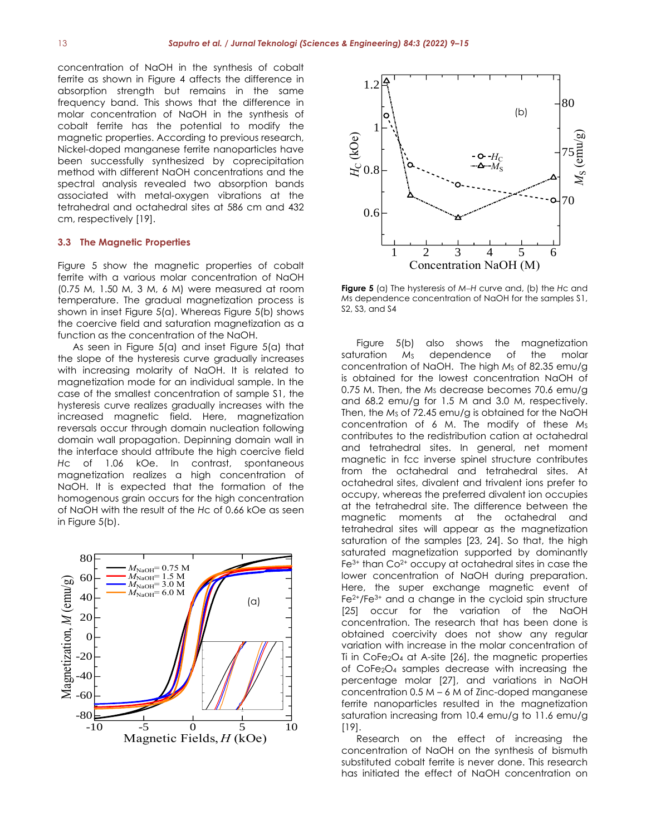concentration of NaOH in the synthesis of cobalt ferrite as shown in Figure 4 affects the difference in absorption strength but remains in the same frequency band. This shows that the difference in 60 molar concentration of NaOH in the synthesis of cobalt ferrite has the potential to modify the magnetic properties. According to previous research, magnetic properties. According to previous research, hickel-doped manganese ferrite nanoparticles have been successfully synthesized by coprecipitation method with different NaOH concentrations and the spectral analysis revealed two absorption bands associated with metal-oxygen vibrations at the tetrahedral and octahedral sites at 586 cm and 432 cm, respectively [19]. Magnetic<br>Andretic<br>Andredi<br>andreedi<br>Spe

#### **3.3 The Magnetic Properties** -80

Figure 5 show the magnetic properties of cobalt ferrite with a various molar concentration of NaOH (0.75 M, 1.50 M, 3 M, 6 M) were measured at room temperature. The gradual magnetization process is shown in inset Figure 5(a). Whereas Figure 5(b) shows the coercive field and saturation magnetization as a function as the concentration of the NaOH. e magnetic properties of

As seen in Figure 5(a) and inset Figure 5(a) that the slope of the hysteresis curve gradually increases with increasing molarity of NaOH. It is related to magnetization mode for an individual sample. In the case of the smallest concentration of sample S1, the hysteresis curve realizes gradually increases with the increased magnetic field. Here, magnetization reversals occur through domain nucleation following domain wall propagation. Depinning domain wall in 70 the interface should attribute the high coercive field *H*c of 1.06 kOe. In contrast, spontaneous magnetization realizes a high concentration of NaOH. It is expected that the formation of the homogenous grain occurs for the high concentration of NaOH with the result of the *Hc* of 0.66 kOe as seen in Figure 5(b). *M*<br>Smo<br>Ma<br>Divid





**Figure 5** (a) The hysteresis of *M*−*H* curve and, (b) the *H*c and *M*s dependence concentration of NaOH for the samples S1, S2, S3, and S4

Figure 5(b) also shows the magnetization saturation M<sub>S</sub> dependence of the molar saturation ms dependence of the moldr<br>concentration of NaOH. The high M<sub>s</sub> of 82.35 emu/g is obtained for the lowest concentration NaOH of 0.75 M. Then, the M<sub>S</sub> decrease becomes 70.6 emu/g<br>30.14 september 25.14 and 2.0.14 september and 68.2 emu/g for 1.5 M and 3.0 M, respectively. Then, the Ms of 72.45 emu/g is obtained for the NaOH concentration of 6 M. The modify of these M<sub>S</sub><br>contributes to the redistribution esting at establedral contributes to the redistribution cation at octahedral and tetrahedral sites. In general, net moment magnetic in fcc inverse spinel structure contributes magnetic in the inverse spirier structure commodes<br>from the octahedral and tetrahedral sites. At octahedral sites, divalent and trivalent ions prefer to occupy, whereas the preferred divalent ion occupies occupy, whereas hie preferred dividient for occupies<br>at the tetrahedral site. The difference between the magnetic moments at the octahedral and the network of  $\frac{1}{\sqrt{2}}$  and  $\frac{1}{\sqrt{2}}$  and  $\frac{1}{\sqrt{2}}$  and  $\frac{1}{\sqrt{2}}$  and  $\frac{1}{\sqrt{2}}$  and  $\frac{1}{\sqrt{2}}$  and  $\frac{1}{\sqrt{2}}$  and  $\frac{1}{\sqrt{2}}$  and  $\frac{1}{\sqrt{2}}$  and  $\frac{1}{\sqrt{2}}$  an tetrahedral sites will appear as the magnetization saturation of the samples [23, 24]. So that, the high saturated magnetization supported by dominantly  $Fe<sup>3+</sup>$  than  $Co<sup>2+</sup>$  occupy at octahedral sites in case the lower concentration of NaOH during preparation. Here, the super exchange magnetic event of Fe<sup>2+</sup>/Fe<sup>3+</sup> and a change in the cycloid spin structure [25] occur for the variation of the NaOH concentration. The research that has been done is obtained coercivity does not show any regular 0.8 variation with increase in the molar concentration of Ti in CoFe2O<sup>4</sup> at A-site [26], the magnetic properties of CoFe<sub>2</sub>O<sub>4</sub> samples decrease with increasing the percentage molar [27], and variations in NaOH  $concentration\ 0.5\ M - 6\ M\ of\ 2inc-doped\ 200$ ferrite nanoparticles resulted in the magnetization saturation increasing from 10.4 emu/g to 11.6 emu/g<br>ប្រុស [19]. oco<br>Phtre<br>On **saturation incre** *M.* Inen, then, then, the Ms of<br> **MACCORY**<br> **MACCORY**<br> **MACCORY**<br> **MACCORY**<br> **MACCORY**<br> **MACCORY**<br> **MACCORY**<br> **MACCORY** 

.<br>Research on the effect of increasing the concentration of NaOH on the synthesis of bismuth 35 substituted cobalt ferrite is never done. This research has initiated the effect of NaOH concentration on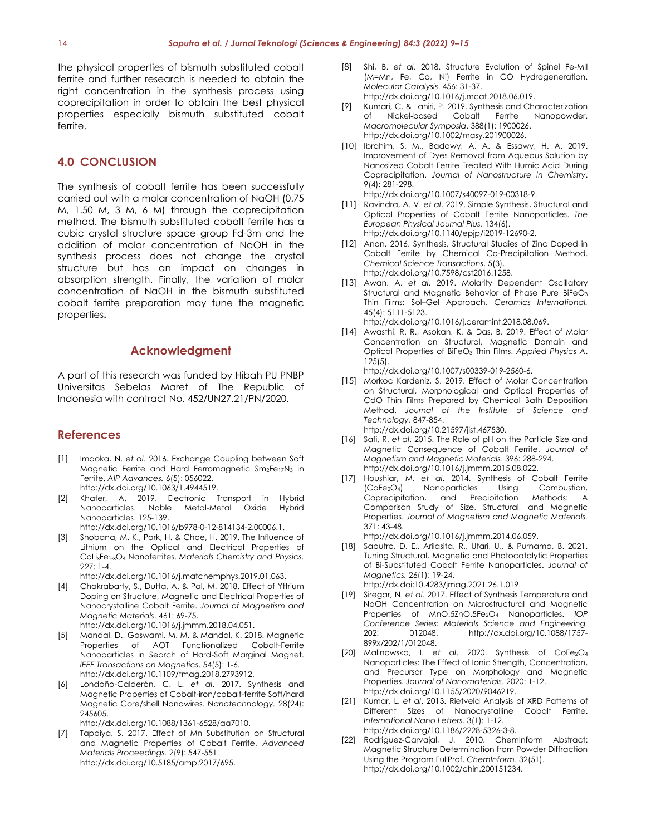the physical properties of bismuth substituted cobalt ferrite and further research is needed to obtain the right concentration in the synthesis process using coprecipitation in order to obtain the best physical properties especially bismuth substituted cobalt ferrite.

#### **4.0 CONCLUSION**

The synthesis of cobalt ferrite has been successfully carried out with a molar concentration of NaOH (0.75 M, 1.50 M, 3 M, 6 M) through the coprecipitation method. The bismuth substituted cobalt ferrite has a cubic crystal structure space group Fd-3m and the addition of molar concentration of NaOH in the synthesis process does not change the crystal structure but has an impact on changes in absorption strength. Finally, the variation of molar concentration of NaOH in the bismuth substituted cobalt ferrite preparation may tune the magnetic properties**.**

#### **Acknowledgment**

A part of this research was funded by Hibah PU PNBP Universitas Sebelas Maret of The Republic of Indonesia with contract No. 452/UN27.21/PN/2020.

#### **References**

- [1] Imaoka, N. *et al*. 2016. Exchange Coupling between Soft Magnetic Ferrite and Hard Ferromagnetic Sm<sub>2</sub>Fe<sub>17</sub>N<sub>3</sub> in Ferrite. *AIP Advances.* 6(5): 056022. [http://dx.doi.org/10.1063/1.4944519.](http://dx.doi.org/10.1063/1.4944519)
- [2] Khater, A. 2019. Electronic Transport in Hybrid Nanoparticles. Noble Metal-Metal Oxide Hybrid Nanoparticles. 125-139.
- http://dx.doi.org/10.1016/b978-0-12-814134-2.00006.1.
- [3] Shobana, M. K., Park, H. & Choe, H. 2019. The Influence of Lithium on the Optical and Electrical Properties of CoLixFe1-xO<sup>4</sup> Nanoferrites. *Materials Chemistry and Physics.*  $227 \cdot 1 - 4$
- [http://dx.doi.org/10.1016/j.matchemphys.2019.01.063.](http://dx.doi.org/10.1016/j.matchemphys.2019.01.063) [4] Chakrabarty, S., Dutta, A. & Pal, M. 2018. Effect of Yttrium Doping on Structure, Magnetic and Electrical Properties of Nanocrystalline Cobalt Ferrite. *Journal of Magnetism and Magnetic Materials*. 461: 69-75.
- http://dx.doi.org/10.1016/j.jmmm.2018.04.051. [5] Mandal, D., Goswami, M. M. & Mandal, K. 2018. Magnetic Properties of AOT Functionalized Cobalt-Ferrite Nanoparticles in Search of Hard-Soft Marginal Magnet. *IEEE Transactions on Magnetics*. 54(5): 1-6. http://dx.doi.org/10.1109/tmag.2018.2793912.
- [6] Londoño-Calderón, C. L. *et al*. 2017. Synthesis and Magnetic Properties of Cobalt-iron/cobalt-ferrite Soft/hard Magnetic Core/shell Nanowires. *Nanotechnology.* 28(24): 245605.

http://dx.doi.org/10.1088/1361-6528/aa7010.

[7] Tapdiya, S. 2017. Effect of Mn Substitution on Structural and Magnetic Properties of Cobalt Ferrite. *Advanced Materials Proceedings.* 2(9): 547-551. http://dx.doi.org/10.5185/amp.2017/695.

- [8] Shi, B. *et al*. 2018. Structure Evolution of Spinel Fe-MII (M=Mn, Fe, Co, Ni) Ferrite in CO Hydrogeneration. *Molecular Catalysis*. 456: 31-37. http://dx.doi.org/10.1016/j.mcat.2018.06.019.
- [9] Kumari, C. & Lahiri, P. 2019. Synthesis and Characterization of Nickel‐based Cobalt Ferrite Nanopowder. *Macromolecular Symposia*. 388(1): 1900026. http://dx.doi.org/10.1002/masy.201900026.
- [10] Ibrahim, S. M., Badawy, A. A. & Essawy, H. A. 2019. Improvement of Dyes Removal from Aqueous Solution by Nanosized Cobalt Ferrite Treated With Humic Acid During Coprecipitation. *Journal of Nanostructure in Chemistry*. 9(4): 281-298.

http://dx.doi.org/10.1007/s40097-019-00318-9.

- [11] Ravindra, A. V. *et al*. 2019. Simple Synthesis, Structural and Optical Properties of Cobalt Ferrite Nanoparticles. *The European Physical Journal Plus.* 134(6). http://dx.doi.org/10.1140/epjp/i2019-12690-2.
- [12] Anon. 2016. Synthesis, Structural Studies of Zinc Doped in Cobalt Ferrite by Chemical Co-Precipitation Method. *Chemical Science Transactions*. 5(3). http://dx.doi.org/10.7598/cst2016.1258.
- [13] Awan, A. *et al*. 2019. Molarity Dependent Oscillatory Structural and Maanetic Behavior of Phase Pure BiFeO<sub>3</sub> Thin Films: Sol–Gel Approach. *Ceramics International.* 45(4): 5111-5123.

http://dx.doi.org/10.1016/j.ceramint.2018.08.069.

[14] Awasthi, R. R., Asokan, K. & Das, B. 2019. Effect of Molar Concentration on Structural, Magnetic Domain and Optical Properties of BiFeO<sup>3</sup> Thin Films. *Applied Physics A*. 125(5).

http://dx.doi.org/10.1007/s00339-019-2560-6.

[15] Morkoc Kardeniz, S. 2019. Effect of Molar Concentration on Structural, Morphological and Optical Properties of CdO Thin Films Prepared by Chemical Bath Deposition Method. *Journal of the Institute of Science and Technology.* 847-854.

http://dx.doi.org/10.21597/jist.467530.

- [16] Safi, R. *et al*. 2015. The Role of pH on the Particle Size and Magnetic Consequence of Cobalt Ferrite. *Journal of Magnetism and Magnetic Materials*. 396: 288-294. http://dx.doi.org/10.1016/j.jmmm.2015.08.022.
- [17] Houshiar, M. *et al*. 2014. Synthesis of Cobalt Ferrite (CoFe2O4) Nanoparticles Using Combustion, Coprecipitation, and Precipitation Methods: A Comparison Study of Size, Structural, and Magnetic Properties. *Journal of Magnetism and Magnetic Materials.* 371: 43-48.

http://dx.doi.org/10.1016/j.jmmm.2014.06.059.

- [18] Saputro, D. E., Arilasita, R., Utari, U., & Purnama, B. 2021. Tuning Structural, Magnetic and Photocatalytic Properties of Bi-Substituted Cobalt Ferrite Nanoparticles. *Journal of Magnetics.* 26(1): 19-24. http://dx.doi:10.4283/jmag.2021.26.1.019.
- [19] Siregar, N. *et al*. 2017. Effect of Synthesis Temperature and NaOH Concentration on Microstructural and Magnetic Properties of MnO.5ZnO.5Fe2O<sup>4</sup> Nanoparticles. *IOP Conference Series: Materials Science and Engineering.* 202: 012048. http://dx.doi.org/10.1088/1757- 899x/202/1/012048.
- [20] Malinowska, I. *et al*. 2020. Synthesis of CoFe2O<sup>4</sup> Nanoparticles: The Effect of Ionic Strength, Concentration, and Precursor Type on Morphology and Magnetic Properties. *Journal of Nanomaterials*. 2020: 1-12. [http://dx.doi.org/10.1155/2020/9046219.](http://dx.doi.org/10.1155/2020/9046219)
- [21] Kumar, L. *et al*. 2013. Rietveld Analysis of XRD Patterns of Different Sizes of Nanocrystalline Cobalt Ferrite. *International Nano Letters.* 3(1): 1-12. http://dx.doi.org/10.1186/2228-5326-3-8.
- [22] Rodriguez-Carvajal, J. 2010. ChemInform Abstract: Magnetic Structure Determination from Powder Diffraction Using the Program FullProf. *ChemInform*. 32(51). [http://dx.doi.org/10.1002/chin.200151234.](http://dx.doi.org/10.1002/chin.200151234)